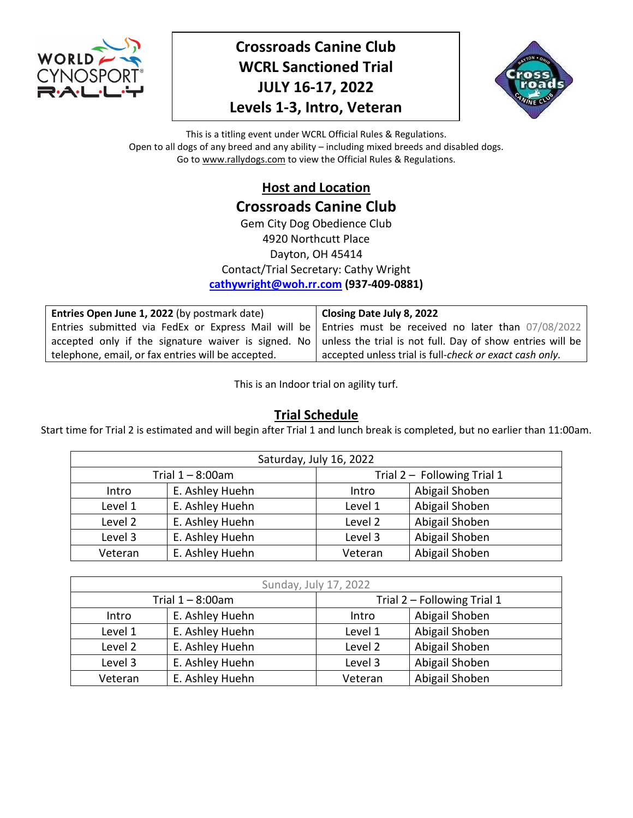

# **Crossroads Canine Club WCRL Sanctioned Trial JULY 16-17, 2022 Levels 1-3, Intro, Veteran**



This is a titling event under WCRL Official Rules & Regulations. Open to all dogs of any breed and any ability – including mixed breeds and disabled dogs. Go to www.rallydogs.com to view the Official Rules & Regulations.

> **Host and Location Crossroads Canine Club** Gem City Dog Obedience Club 4920 Northcutt Place Dayton, OH 45414 Contact/Trial Secretary: Cathy Wright **[cathywright@woh.rr.com](mailto:cathywright@woh.rr.com) (937-409-0881)**

| Entries Open June 1, 2022 (by postmark date)                                                                          | Closing Date July 8, 2022                               |
|-----------------------------------------------------------------------------------------------------------------------|---------------------------------------------------------|
| Entries submitted via FedEx or Express Mail will be   Entries must be received no later than 07/08/2022               |                                                         |
| accepted only if the signature waiver is signed. No $\vert$ unless the trial is not full. Day of show entries will be |                                                         |
| telephone, email, or fax entries will be accepted.                                                                    | accepted unless trial is full-check or exact cash only. |

This is an Indoor trial on agility turf.

# **Trial Schedule**

Start time for Trial 2 is estimated and will begin after Trial 1 and lunch break is completed, but no earlier than 11:00am.

|                                       |                 | Saturday, July 16, 2022 |                               |
|---------------------------------------|-----------------|-------------------------|-------------------------------|
| Trial $1 - 8:00$ am                   |                 |                         | Trial $2 -$ Following Trial 1 |
| Intro                                 | E. Ashley Huehn | Abigail Shoben<br>Intro |                               |
| Level 1                               | E. Ashley Huehn | Level 1                 | Abigail Shoben                |
| Level 2                               | E. Ashley Huehn | Level 2                 | Abigail Shoben                |
| Level 3                               | E. Ashley Huehn | Level 3                 | Abigail Shoben                |
| E. Ashley Huehn<br>Veteran<br>Veteran |                 | Abigail Shoben          |                               |

| Sunday, July 17, 2022    |                 |         |                             |
|--------------------------|-----------------|---------|-----------------------------|
| Trial $1 - 8:00$ am      |                 |         | Trial 2 - Following Trial 1 |
| E. Ashley Huehn<br>Intro |                 | Intro   | Abigail Shoben              |
| Level 1                  | E. Ashley Huehn | Level 1 | Abigail Shoben              |
| Level 2                  | E. Ashley Huehn | Level 2 | Abigail Shoben              |
| Level 3                  | E. Ashley Huehn | Level 3 | Abigail Shoben              |
| Veteran                  | E. Ashley Huehn | Veteran | Abigail Shoben              |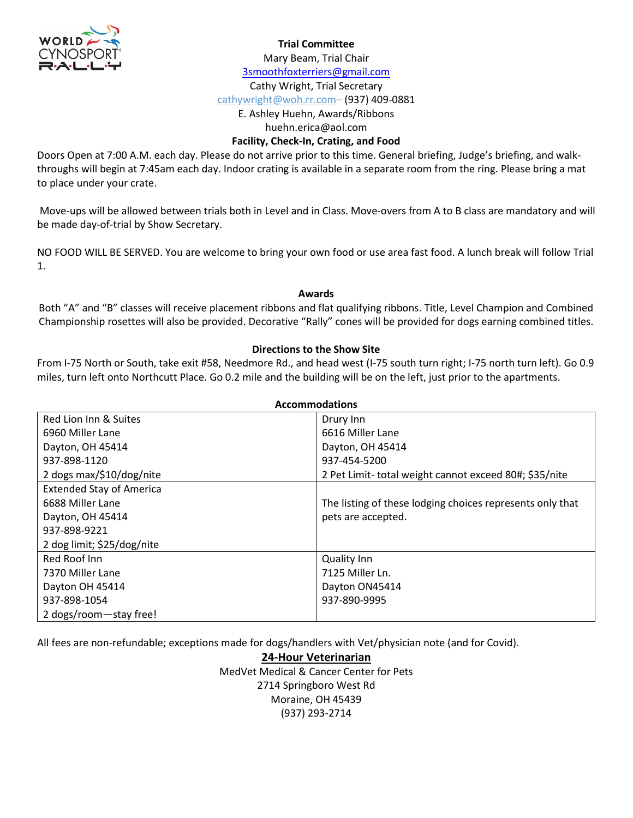

#### **Trial Committee**

Mary Beam, Trial Chair

[3smoothfoxterriers@gmail.com](mailto:3smoothfoxterriers@gmail.com)

Cathy Wright, Trial Secretary cathywright@woh.rr.com– (937) 409-0881

E. Ashley Huehn, Awards/Ribbons

huehn.erica@aol.com

### **Facility, Check-In, Crating, and Food**

Doors Open at 7:00 A.M. each day. Please do not arrive prior to this time. General briefing, Judge's briefing, and walkthroughs will begin at 7:45am each day. Indoor crating is available in a separate room from the ring. Please bring a mat to place under your crate.

Move-ups will be allowed between trials both in Level and in Class. Move-overs from A to B class are mandatory and will be made day-of-trial by Show Secretary.

NO FOOD WILL BE SERVED. You are welcome to bring your own food or use area fast food. A lunch break will follow Trial 1.

### **Awards**

Both "A" and "B" classes will receive placement ribbons and flat qualifying ribbons. Title, Level Champion and Combined Championship rosettes will also be provided. Decorative "Rally" cones will be provided for dogs earning combined titles.

### **Directions to the Show Site**

From I-75 North or South, take exit #58, Needmore Rd., and head west (I-75 south turn right; I-75 north turn left). Go 0.9 miles, turn left onto Northcutt Place. Go 0.2 mile and the building will be on the left, just prior to the apartments.

| <b>Accommodations</b>           |                                                           |  |  |  |
|---------------------------------|-----------------------------------------------------------|--|--|--|
| Red Lion Inn & Suites           | Drury Inn                                                 |  |  |  |
| 6960 Miller Lane                | 6616 Miller Lane                                          |  |  |  |
| Dayton, OH 45414                | Dayton, OH 45414                                          |  |  |  |
| 937-898-1120                    | 937-454-5200                                              |  |  |  |
| 2 dogs max/\$10/dog/nite        | 2 Pet Limit-total weight cannot exceed 80#; \$35/nite     |  |  |  |
| <b>Extended Stay of America</b> |                                                           |  |  |  |
| 6688 Miller Lane                | The listing of these lodging choices represents only that |  |  |  |
| Dayton, OH 45414                | pets are accepted.                                        |  |  |  |
| 937-898-9221                    |                                                           |  |  |  |
| 2 dog limit; \$25/dog/nite      |                                                           |  |  |  |
| Red Roof Inn                    | <b>Quality Inn</b>                                        |  |  |  |
| 7370 Miller Lane                | 7125 Miller Ln.                                           |  |  |  |
| Dayton OH 45414                 | Dayton ON45414                                            |  |  |  |
| 937-898-1054                    | 937-890-9995                                              |  |  |  |
| 2 dogs/room-stay free!          |                                                           |  |  |  |

All fees are non-refundable; exceptions made for dogs/handlers with Vet/physician note (and for Covid).

**24-Hour Veterinarian** MedVet Medical & Cancer Center for Pets 2714 Springboro West Rd Moraine, OH 45439 (937) 293-2714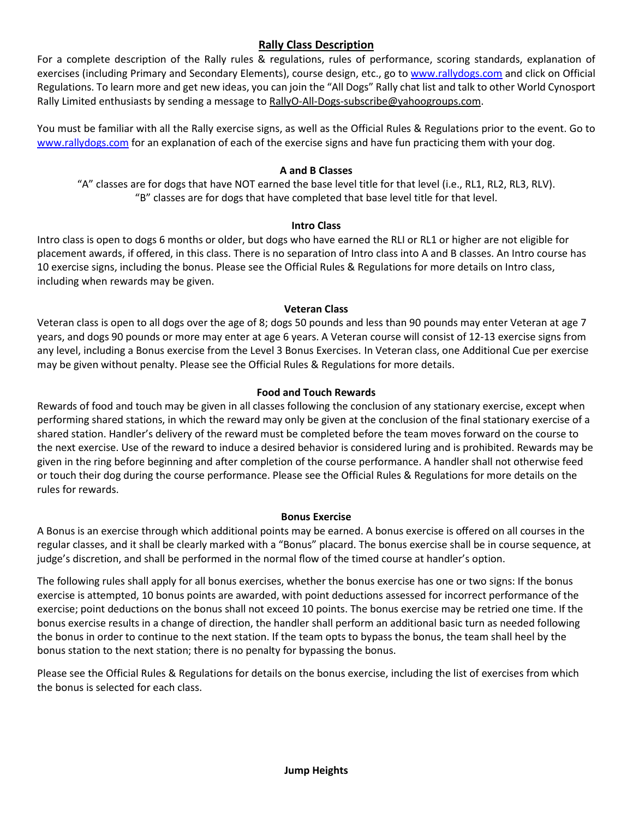### **Rally Class Description**

For a complete description of the Rally rules & regulations, rules of performance, scoring standards, explanation of exercises (including Primary and Secondary Elements), course design, etc., go to [www.rallydogs.com](http://www.rallydogs.com/) and click on Official Regulations. To learn more and get new ideas, you can join the "All Dogs" Rally chat list and talk to other World Cynosport Rally Limited enthusiasts by sending a message t[o RallyO-All-Dogs-subscribe@yahoogroups.com.](mailto:RallyO-All-Dogs-subscribe@yahoogroups.com)

You must be familiar with all the Rally exercise signs, as well as the Official Rules & Regulations prior to the event. Go to [www.rallydogs.com](http://www.rallydogs.com/) for an explanation of each of the exercise signs and have fun practicing them with your dog.

### **A and B Classes**

"A" classes are for dogs that have NOT earned the base level title for that level (i.e., RL1, RL2, RL3, RLV). "B" classes are for dogs that have completed that base level title for that level.

### **Intro Class**

Intro class is open to dogs 6 months or older, but dogs who have earned the RLI or RL1 or higher are not eligible for placement awards, if offered, in this class. There is no separation of Intro class into A and B classes. An Intro course has 10 exercise signs, including the bonus. Please see the Official Rules & Regulations for more details on Intro class, including when rewards may be given.

### **Veteran Class**

Veteran class is open to all dogs over the age of 8; dogs 50 pounds and less than 90 pounds may enter Veteran at age 7 years, and dogs 90 pounds or more may enter at age 6 years. A Veteran course will consist of 12-13 exercise signs from any level, including a Bonus exercise from the Level 3 Bonus Exercises. In Veteran class, one Additional Cue per exercise may be given without penalty. Please see the Official Rules & Regulations for more details.

### **Food and Touch Rewards**

Rewards of food and touch may be given in all classes following the conclusion of any stationary exercise, except when performing shared stations, in which the reward may only be given at the conclusion of the final stationary exercise of a shared station. Handler's delivery of the reward must be completed before the team moves forward on the course to the next exercise. Use of the reward to induce a desired behavior is considered luring and is prohibited. Rewards may be given in the ring before beginning and after completion of the course performance. A handler shall not otherwise feed or touch their dog during the course performance. Please see the Official Rules & Regulations for more details on the rules for rewards.

### **Bonus Exercise**

A Bonus is an exercise through which additional points may be earned. A bonus exercise is offered on all courses in the regular classes, and it shall be clearly marked with a "Bonus" placard. The bonus exercise shall be in course sequence, at judge's discretion, and shall be performed in the normal flow of the timed course at handler's option.

The following rules shall apply for all bonus exercises, whether the bonus exercise has one or two signs: If the bonus exercise is attempted, 10 bonus points are awarded, with point deductions assessed for incorrect performance of the exercise; point deductions on the bonus shall not exceed 10 points. The bonus exercise may be retried one time. If the bonus exercise results in a change of direction, the handler shall perform an additional basic turn as needed following the bonus in order to continue to the next station. If the team opts to bypass the bonus, the team shall heel by the bonus station to the next station; there is no penalty for bypassing the bonus.

Please see the Official Rules & Regulations for details on the bonus exercise, including the list of exercises from which the bonus is selected for each class.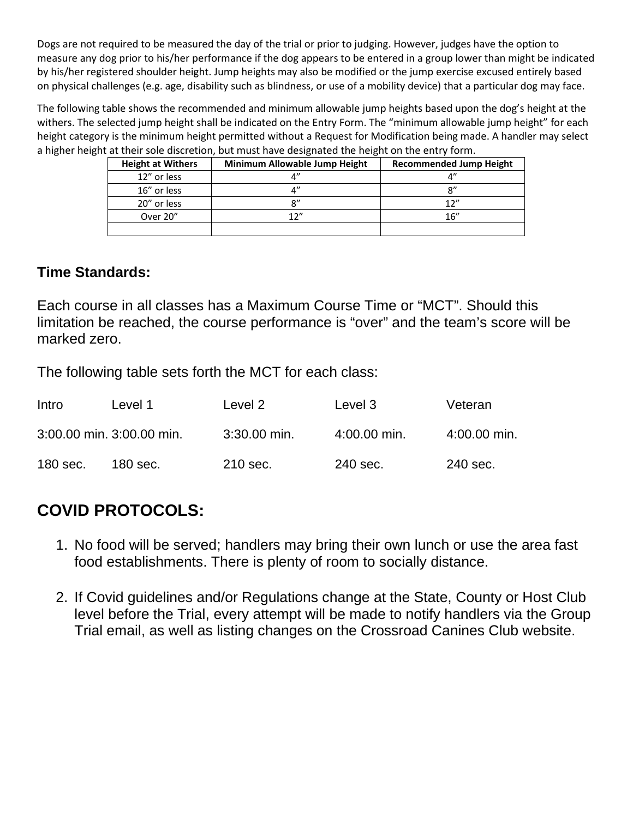Dogs are not required to be measured the day of the trial or prior to judging. However, judges have the option to measure any dog prior to his/her performance if the dog appears to be entered in a group lower than might be indicated by his/her registered shoulder height. Jump heights may also be modified or the jump exercise excused entirely based on physical challenges (e.g. age, disability such as blindness, or use of a mobility device) that a particular dog may face.

The following table shows the recommended and minimum allowable jump heights based upon the dog's height at the withers. The selected jump height shall be indicated on the Entry Form. The "minimum allowable jump height" for each height category is the minimum height permitted without a Request for Modification being made. A handler may select a higher height at their sole discretion, but must have designated the height on the entry form.

| <b>Height at Withers</b> | Minimum Allowable Jump Height | <b>Recommended Jump Height</b> |
|--------------------------|-------------------------------|--------------------------------|
| 12" or less              |                               |                                |
| 16" or less              |                               | $^{\rm o}$                     |
| 20" or less              | ດ"                            | 12''                           |
| Over 20"                 | 12 $^{\prime\prime}$          | 16''                           |
|                          |                               |                                |

# **Time Standards:**

Each course in all classes has a Maximum Course Time or "MCT". Should this limitation be reached, the course performance is "over" and the team's score will be marked zero.

The following table sets forth the MCT for each class:

| Intro      | Level 1                   | Level 2        | Level 3      | Veteran        |
|------------|---------------------------|----------------|--------------|----------------|
|            | 3:00.00 min. 3:00.00 min. | $3:30.00$ min. | 4:00.00 min. | $4:00.00$ min. |
| $180$ sec. | 180 sec.                  | 210 sec.       | 240 sec.     | 240 sec.       |

# **COVID PROTOCOLS:**

- 1. No food will be served; handlers may bring their own lunch or use the area fast food establishments. There is plenty of room to socially distance.
- 2. If Covid guidelines and/or Regulations change at the State, County or Host Club level before the Trial, every attempt will be made to notify handlers via the Group Trial email, as well as listing changes on the Crossroad Canines Club website.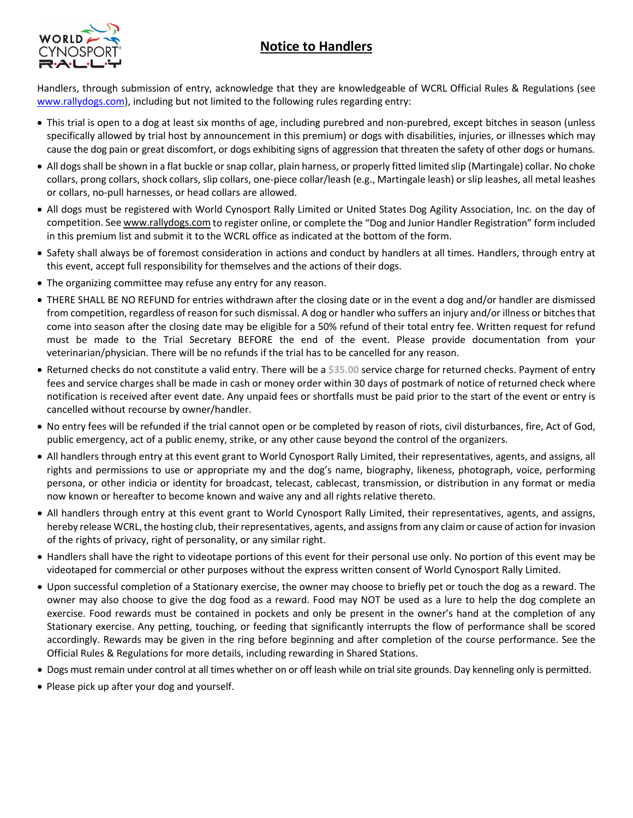# **Notice to Handlers**



Handlers, through submission of entry, acknowledge that they are knowledgeable of WCRL Official Rules & Regulations (see [www.rallydogs.com\)](http://www.rallydogs.com/), including but not limited to the following rules regarding entry:

- This trial is open to a dog at least six months of age, including purebred and non-purebred, except bitches in season (unless specifically allowed by trial host by announcement in this premium) or dogs with disabilities, injuries, or illnesses which may cause the dog pain or great discomfort, or dogs exhibiting signs of aggression that threaten the safety of other dogs or humans.
- All dogs shall be shown in a flat buckle or snap collar, plain harness, or properly fitted limited slip (Martingale) collar. No choke collars, prong collars, shock collars, slip collars, one-piece collar/leash (e.g., Martingale leash) or slip leashes, all metal leashes or collars, no-pull harnesses, or head collars are allowed.
- All dogs must be registered with World Cynosport Rally Limited or United States Dog Agility Association, Inc. on the day of competition. See [www.rallydogs.com](http://www.rallydogs.com/) to register online, or complete the "Dog and Junior Handler Registration" form included in this premium list and submit it to the WCRL office as indicated at the bottom of the form.
- Safety shall always be of foremost consideration in actions and conduct by handlers at all times. Handlers, through entry at this event, accept full responsibility for themselves and the actions of their dogs.
- The organizing committee may refuse any entry for any reason.
- THERE SHALL BE NO REFUND for entries withdrawn after the closing date or in the event a dog and/or handler are dismissed from competition, regardless of reason for such dismissal. A dog or handler who suffers an injury and/or illness or bitches that come into season after the closing date may be eligible for a 50% refund of their total entry fee. Written request for refund must be made to the Trial Secretary BEFORE the end of the event. Please provide documentation from your veterinarian/physician. There will be no refunds if the trial has to be cancelled for any reason.
- Returned checks do not constitute a valid entry. There will be a **\$35.00** service charge for returned checks. Payment of entry fees and service charges shall be made in cash or money order within 30 days of postmark of notice of returned check where notification is received after event date. Any unpaid fees or shortfalls must be paid prior to the start of the event or entry is cancelled without recourse by owner/handler.
- No entry fees will be refunded if the trial cannot open or be completed by reason of riots, civil disturbances, fire, Act of God, public emergency, act of a public enemy, strike, or any other cause beyond the control of the organizers.
- All handlers through entry at this event grant to World Cynosport Rally Limited, their representatives, agents, and assigns, all rights and permissions to use or appropriate my and the dog's name, biography, likeness, photograph, voice, performing persona, or other indicia or identity for broadcast, telecast, cablecast, transmission, or distribution in any format or media now known or hereafter to become known and waive any and all rights relative thereto.
- All handlers through entry at this event grant to World Cynosport Rally Limited, their representatives, agents, and assigns, hereby release WCRL, the hosting club, their representatives, agents, and assigns from any claim or cause of action for invasion of the rights of privacy, right of personality, or any similar right.
- Handlers shall have the right to videotape portions of this event for their personal use only. No portion of this event may be videotaped for commercial or other purposes without the express written consent of World Cynosport Rally Limited.
- Upon successful completion of a Stationary exercise, the owner may choose to briefly pet or touch the dog as a reward. The owner may also choose to give the dog food as a reward. Food may NOT be used as a lure to help the dog complete an exercise. Food rewards must be contained in pockets and only be present in the owner's hand at the completion of any Stationary exercise. Any petting, touching, or feeding that significantly interrupts the flow of performance shall be scored accordingly. Rewards may be given in the ring before beginning and after completion of the course performance. See the Official Rules & Regulations for more details, including rewarding in Shared Stations.
- Dogs must remain under control at all times whether on or off leash while on trial site grounds. Day kenneling only is permitted.
- Please pick up after your dog and yourself.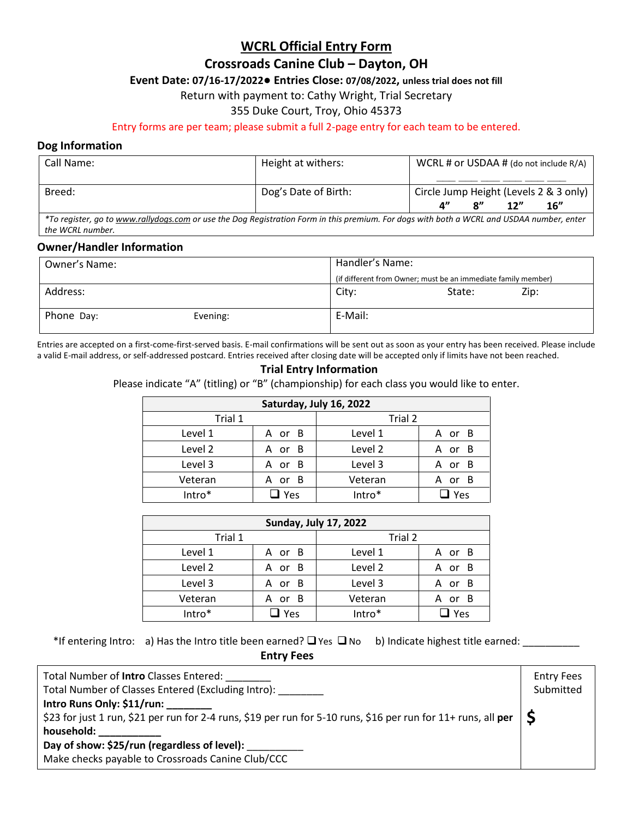## **WCRL Official Entry Form**

## **Crossroads Canine Club – Dayton, OH**

### **Event Date: 07/16-17/2022● Entries Close: 07/08/2022, unless trial does not fill**

Return with payment to: Cathy Wright, Trial Secretary

### 355 Duke Court, Troy, Ohio 45373

Entry forms are per team; please submit a full 2-page entry for each team to be entered.

### **Dog Information**

| Call Name:                                                                                                                                | Height at withers:   | WCRL # or USDAA # (do not include R/A) |                |     |     |
|-------------------------------------------------------------------------------------------------------------------------------------------|----------------------|----------------------------------------|----------------|-----|-----|
|                                                                                                                                           |                      |                                        |                |     |     |
| Breed:                                                                                                                                    | Dog's Date of Birth: | Circle Jump Height (Levels 2 & 3 only) |                |     |     |
|                                                                                                                                           |                      | $\mathbf{A}^{\prime\prime}$            | $\mathbf{x}''$ | 12" | 16" |
| *To register, go to www.rallydogs.com or use the Dog Registration Form in this premium. For dogs with both a WCRL and USDAA number, enter |                      |                                        |                |     |     |
| the WCRL number.                                                                                                                          |                      |                                        |                |     |     |

### **Owner/Handler Information**

| Owner's Name: |          |         | Handler's Name:                                               |  |
|---------------|----------|---------|---------------------------------------------------------------|--|
|               |          |         | (if different from Owner; must be an immediate family member) |  |
| Address:      |          | City:   | Zip:<br>State:                                                |  |
| Phone Day:    | Evening: | E-Mail: |                                                               |  |

Entries are accepted on a first-come-first-served basis. E-mail confirmations will be sent out as soon as your entry has been received. Please include a valid E-mail address, or self-addressed postcard. Entries received after closing date will be accepted only if limits have not been reached.

### **Trial Entry Information**

Please indicate "A" (titling) or "B" (championship) for each class you would like to enter.

| Saturday, July 16, 2022 |        |         |                       |  |
|-------------------------|--------|---------|-----------------------|--|
| Trial 1                 |        | Trial 2 |                       |  |
| Level 1                 | A or B | Level 1 | A or B                |  |
| Level 2                 | A or B | Level 2 | A or B                |  |
| Level 3                 | A or B | Level 3 | - B<br><b>or</b><br>А |  |
| Veteran                 | A or B | Veteran | - B<br>A<br>or        |  |
| Intro*                  | Yes    | Intro*  | Yes                   |  |

| <b>Sunday, July 17, 2022</b> |             |         |                |
|------------------------------|-------------|---------|----------------|
| Trial 1                      |             | Trial 2 |                |
| Level 1                      | A or B      | Level 1 | - B<br>A or    |
| Level 2                      | A or B      | Level 2 | - B<br>A or    |
| Level 3                      | A or B      | Level 3 | - B<br>or<br>А |
| Veteran                      | - B<br>A or | Veteran | - B<br>A or    |
| Intro*                       | Yes         | Intro*  | Yes            |

\*If entering Intro: a) Has the Intro title been earned? Yes No b) Indicate highest title earned: \_\_\_\_\_\_\_\_\_\_

**Entry Fees**

| Total Number of <b>Intro</b> Classes Entered:                                                                            | <b>Entry Fees</b> |
|--------------------------------------------------------------------------------------------------------------------------|-------------------|
| Total Number of Classes Entered (Excluding Intro):                                                                       | Submitted         |
| Intro Runs Only: \$11/run:                                                                                               |                   |
| \$23 for just 1 run, \$21 per run for 2-4 runs, \$19 per run for 5-10 runs, \$16 per run for 11+ runs, all per $\vert$ S |                   |
| household:                                                                                                               |                   |
| Day of show: \$25/run (regardless of level):                                                                             |                   |
| Make checks payable to Crossroads Canine Club/CCC                                                                        |                   |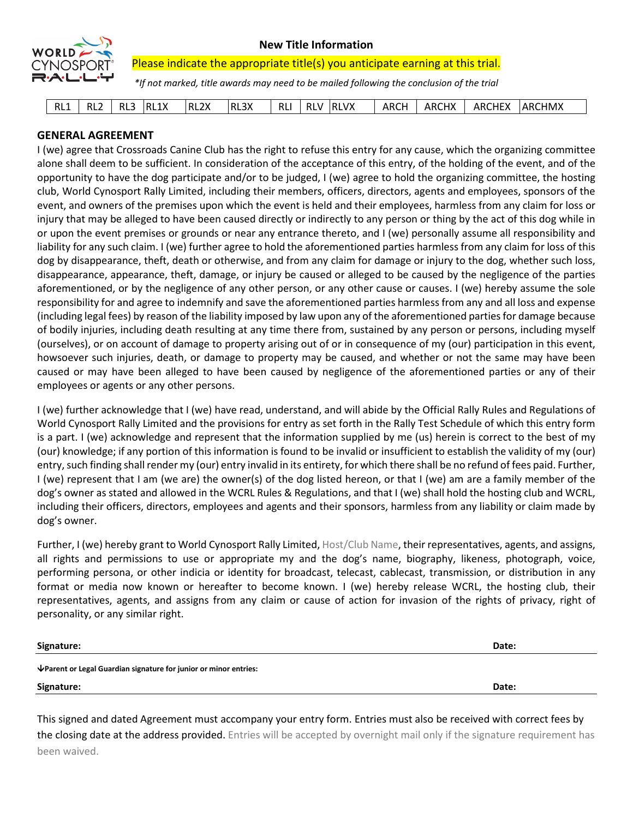

### **New Title Information**

Please indicate the appropriate title(s) you anticipate earning at this trial.

*\*If not marked, title awards may need to be mailed following the conclusion of the trial*

| RL3X<br>RL <sub>2</sub> X<br><b>RLVX</b><br><b>ARCHEX</b><br><b>ARCHX</b><br>RL1<br>RL1X<br>ARCH<br>RL <sub>2</sub><br><b>RL</b><br>כום<br>RI V<br>KL.<br>КL. | <b>ARCHMX</b> |
|---------------------------------------------------------------------------------------------------------------------------------------------------------------|---------------|
|---------------------------------------------------------------------------------------------------------------------------------------------------------------|---------------|

### **GENERAL AGREEMENT**

I (we) agree that Crossroads Canine Club has the right to refuse this entry for any cause, which the organizing committee alone shall deem to be sufficient. In consideration of the acceptance of this entry, of the holding of the event, and of the opportunity to have the dog participate and/or to be judged, I (we) agree to hold the organizing committee, the hosting club, World Cynosport Rally Limited, including their members, officers, directors, agents and employees, sponsors of the event, and owners of the premises upon which the event is held and their employees, harmless from any claim for loss or injury that may be alleged to have been caused directly or indirectly to any person or thing by the act of this dog while in or upon the event premises or grounds or near any entrance thereto, and I (we) personally assume all responsibility and liability for any such claim. I (we) further agree to hold the aforementioned parties harmless from any claim for loss of this dog by disappearance, theft, death or otherwise, and from any claim for damage or injury to the dog, whether such loss, disappearance, appearance, theft, damage, or injury be caused or alleged to be caused by the negligence of the parties aforementioned, or by the negligence of any other person, or any other cause or causes. I (we) hereby assume the sole responsibility for and agree to indemnify and save the aforementioned parties harmless from any and all loss and expense (including legal fees) by reason of the liability imposed by law upon any of the aforementioned parties for damage because of bodily injuries, including death resulting at any time there from, sustained by any person or persons, including myself (ourselves), or on account of damage to property arising out of or in consequence of my (our) participation in this event, howsoever such injuries, death, or damage to property may be caused, and whether or not the same may have been caused or may have been alleged to have been caused by negligence of the aforementioned parties or any of their employees or agents or any other persons.

I (we) further acknowledge that I (we) have read, understand, and will abide by the Official Rally Rules and Regulations of World Cynosport Rally Limited and the provisions for entry as set forth in the Rally Test Schedule of which this entry form is a part. I (we) acknowledge and represent that the information supplied by me (us) herein is correct to the best of my (our) knowledge; if any portion of this information is found to be invalid or insufficient to establish the validity of my (our) entry, such finding shall render my (our) entry invalid in its entirety, for which there shall be no refund of fees paid. Further, I (we) represent that I am (we are) the owner(s) of the dog listed hereon, or that I (we) am are a family member of the dog's owner as stated and allowed in the WCRL Rules & Regulations, and that I (we) shall hold the hosting club and WCRL, including their officers, directors, employees and agents and their sponsors, harmless from any liability or claim made by dog's owner.

Further, I (we) hereby grant to World Cynosport Rally Limited, Host/Club Name, their representatives, agents, and assigns, all rights and permissions to use or appropriate my and the dog's name, biography, likeness, photograph, voice, performing persona, or other indicia or identity for broadcast, telecast, cablecast, transmission, or distribution in any format or media now known or hereafter to become known. I (we) hereby release WCRL, the hosting club, their representatives, agents, and assigns from any claim or cause of action for invasion of the rights of privacy, right of personality, or any similar right.

| Signature:                                                        | Date: |
|-------------------------------------------------------------------|-------|
| ↓ Parent or Legal Guardian signature for junior or minor entries: |       |
| Signature:                                                        | Date: |
|                                                                   |       |

This signed and dated Agreement must accompany your entry form. Entries must also be received with correct fees by the closing date at the address provided. Entries will be accepted by overnight mail only if the signature requirement has been waived.